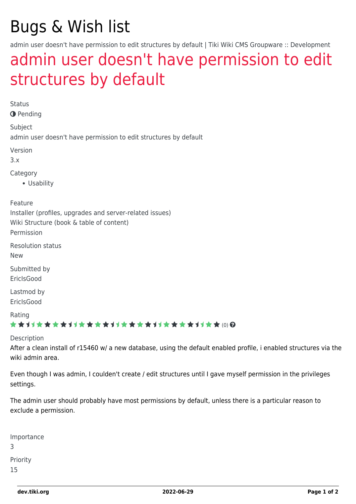# Bugs & Wish list

admin user doesn't have permission to edit structures by default | Tiki Wiki CMS Groupware :: Development

## [admin user doesn't have permission to edit](https://dev.tiki.org/item2119-admin-user-doesn-t-have-permission-to-edit-structures-by-default) [structures by default](https://dev.tiki.org/item2119-admin-user-doesn-t-have-permission-to-edit-structures-by-default)

Status

**O** Pending

Subject

admin user doesn't have permission to edit structures by default

Version

3.x

Category

Usability

Feature

Installer (profiles, upgrades and server-related issues)

Wiki Structure (book & table of content)

Permission

Resolution status

New

Submitted by EricIsGood

Lastmod by **EricIsGood** 

Rating

#### \*\*\*\*\*\*\*\*\*\*\*\*\*\*\*\*\*\*\*\*\*\*\*\*\*\*\*\*\*\*

Description

After a clean install of r15460 w/ a new database, using the default enabled profile, i enabled structures via the wiki admin area.

Even though I was admin, I coulden't create / edit structures until I gave myself permission in the privileges settings.

The admin user should probably have most permissions by default, unless there is a particular reason to exclude a permission.

Importance 3 Priority 15